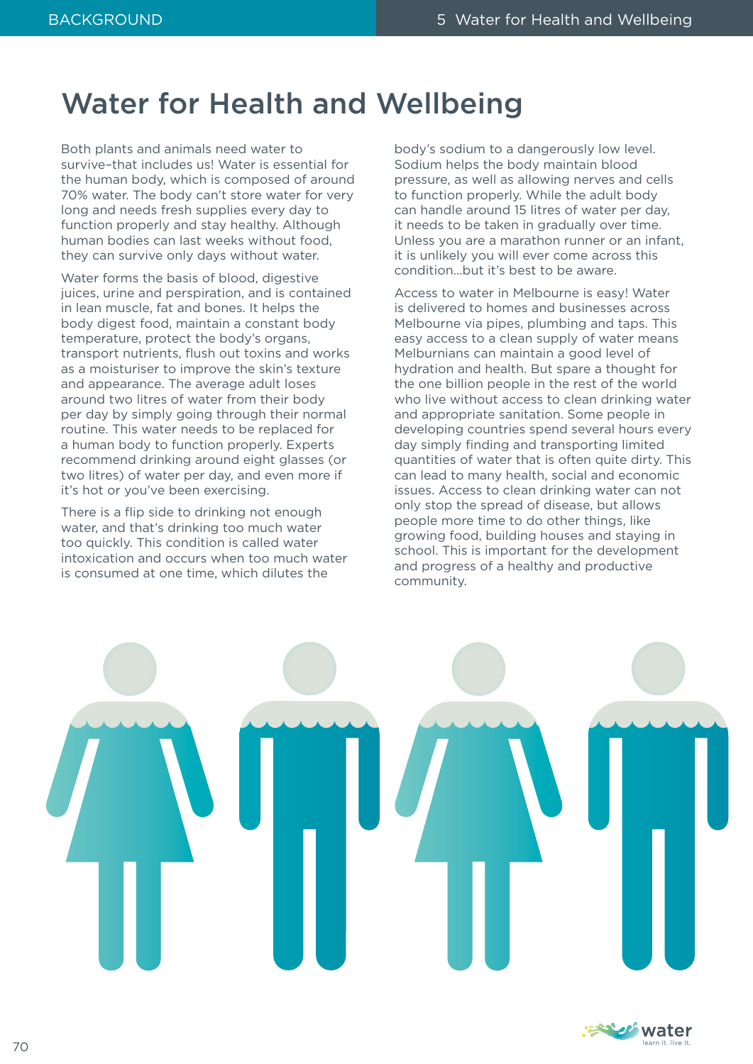### Water for Health and Wellbeing

Both plants and animals need water to survive–that includes us! Water is essential for the human body, which is composed of around 70% water. The body can't store water for very long and needs fresh supplies every day to function properly and stay healthy. Although human bodies can last weeks without food, they can survive only days without water.

Water forms the basis of blood, digestive juices, urine and perspiration, and is contained in lean muscle, fat and bones. It helps the body digest food, maintain a constant body temperature, protect the body's organs, transport nutrients, flush out toxins and works as a moisturiser to improve the skin's texture and appearance. The average adult loses around two litres of water from their body per day by simply going through their normal routine. This water needs to be replaced for a human body to function properly. Experts recommend drinking around eight glasses (or two litres) of water per day, and even more if it's hot or you've been exercising.

There is a flip side to drinking not enough water, and that's drinking too much water too quickly. This condition is called water intoxication and occurs when too much water is consumed at one time, which dilutes the

body's sodium to a dangerously low level. Sodium helps the body maintain blood pressure, as well as allowing nerves and cells to function properly. While the adult body can handle around 15 litres of water per day, it needs to be taken in gradually over time. Unless you are a marathon runner or an infant, it is unlikely you will ever come across this condition…but it's best to be aware.

Access to water in Melbourne is easy! Water is delivered to homes and businesses across Melbourne via pipes, plumbing and taps. This easy access to a clean supply of water means Melburnians can maintain a good level of hydration and health. But spare a thought for the one billion people in the rest of the world who live without access to clean drinking water and appropriate sanitation. Some people in developing countries spend several hours every day simply finding and transporting limited quantities of water that is often quite dirty. This can lead to many health, social and economic issues. Access to clean drinking water can not only stop the spread of disease, but allows people more time to do other things, like growing food, building houses and staying in school. This is important for the development and progress of a healthy and productive community.



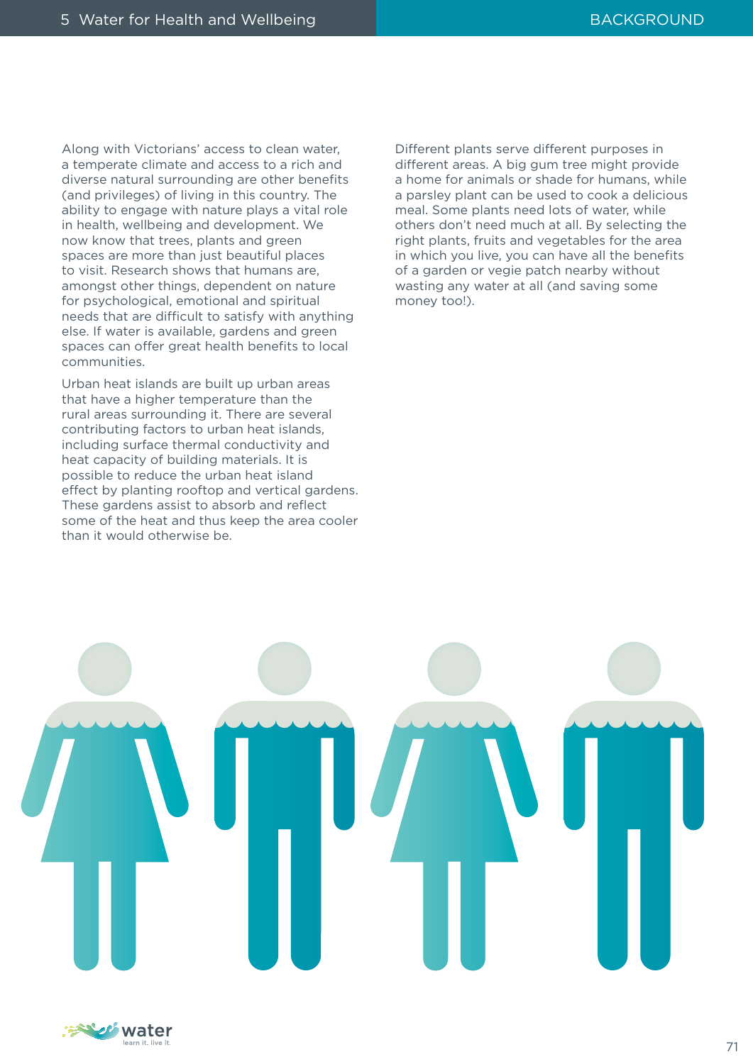Along with Victorians' access to clean water, a temperate climate and access to a rich and diverse natural surrounding are other benefits (and privileges) of living in this country. The ability to engage with nature plays a vital role in health, wellbeing and development. We now know that trees, plants and green spaces are more than just beautiful places to visit. Research shows that humans are, amongst other things, dependent on nature for psychological, emotional and spiritual needs that are difficult to satisfy with anything else. If water is available, gardens and green spaces can offer great health benefits to local communities.

Urban heat islands are built up urban areas that have a higher temperature than the rural areas surrounding it. There are several contributing factors to urban heat islands, including surface thermal conductivity and heat capacity of building materials. It is possible to reduce the urban heat island effect by planting rooftop and vertical gardens. These gardens assist to absorb and reflect some of the heat and thus keep the area cooler than it would otherwise be.

Different plants serve different purposes in different areas. A big gum tree might provide a home for animals or shade for humans, while a parsley plant can be used to cook a delicious meal. Some plants need lots of water, while others don't need much at all. By selecting the right plants, fruits and vegetables for the area in which you live, you can have all the benefits of a garden or vegie patch nearby without wasting any water at all (and saving some money too!).



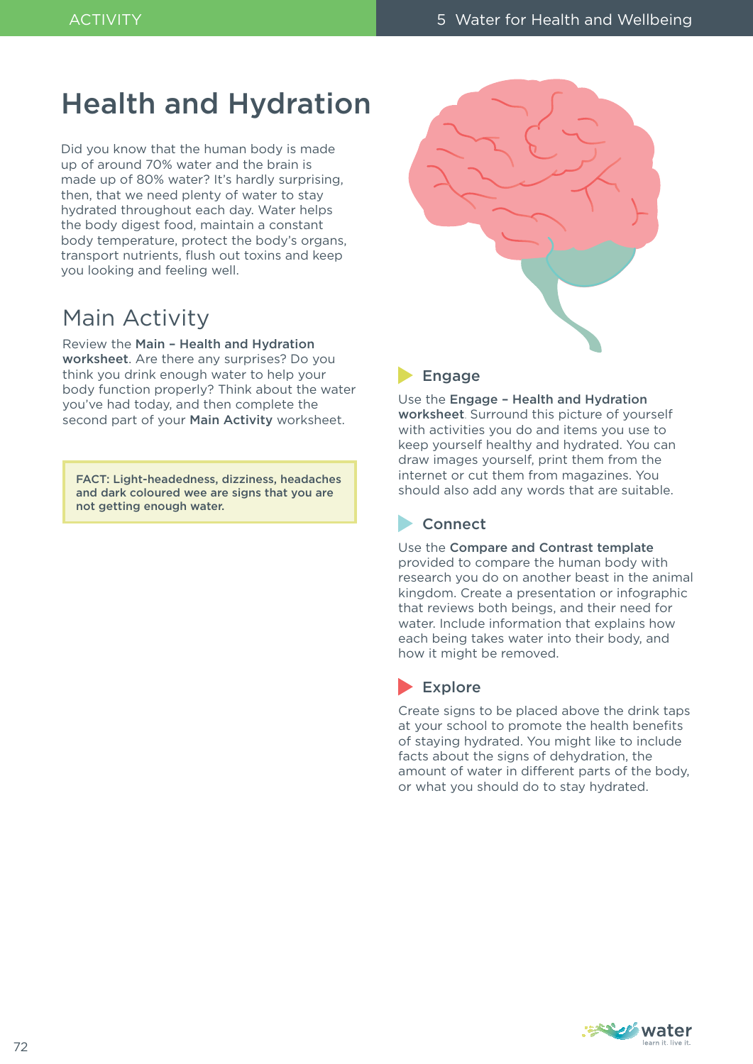### Health and Hydration

Did you know that the human body is made up of around 70% water and the brain is made up of 80% water? It's hardly surprising, then, that we need plenty of water to stay hydrated throughout each day. Water helps the body digest food, maintain a constant body temperature, protect the body's organs, transport nutrients, flush out toxins and keep you looking and feeling well.

### Main Activity

#### Review the Main – Health and Hydration

worksheet. Are there any surprises? Do you think you drink enough water to help your body function properly? Think about the water you've had today, and then complete the second part of your Main Activity worksheet.

FACT: Light-headedness, dizziness, headaches and dark coloured wee are signs that you are not getting enough water.



#### **Engage**

Use the Engage – Health and Hydration worksheet. Surround this picture of yourself with activities you do and items you use to keep yourself healthy and hydrated. You can draw images yourself, print them from the internet or cut them from magazines. You should also add any words that are suitable.

#### **Connect**

Use the Compare and Contrast template provided to compare the human body with research you do on another beast in the animal kingdom. Create a presentation or infographic that reviews both beings, and their need for water. Include information that explains how each being takes water into their body, and how it might be removed.

### Explore

Create signs to be placed above the drink taps at your school to promote the health benefits of staying hydrated. You might like to include facts about the signs of dehydration, the amount of water in different parts of the body, or what you should do to stay hydrated.

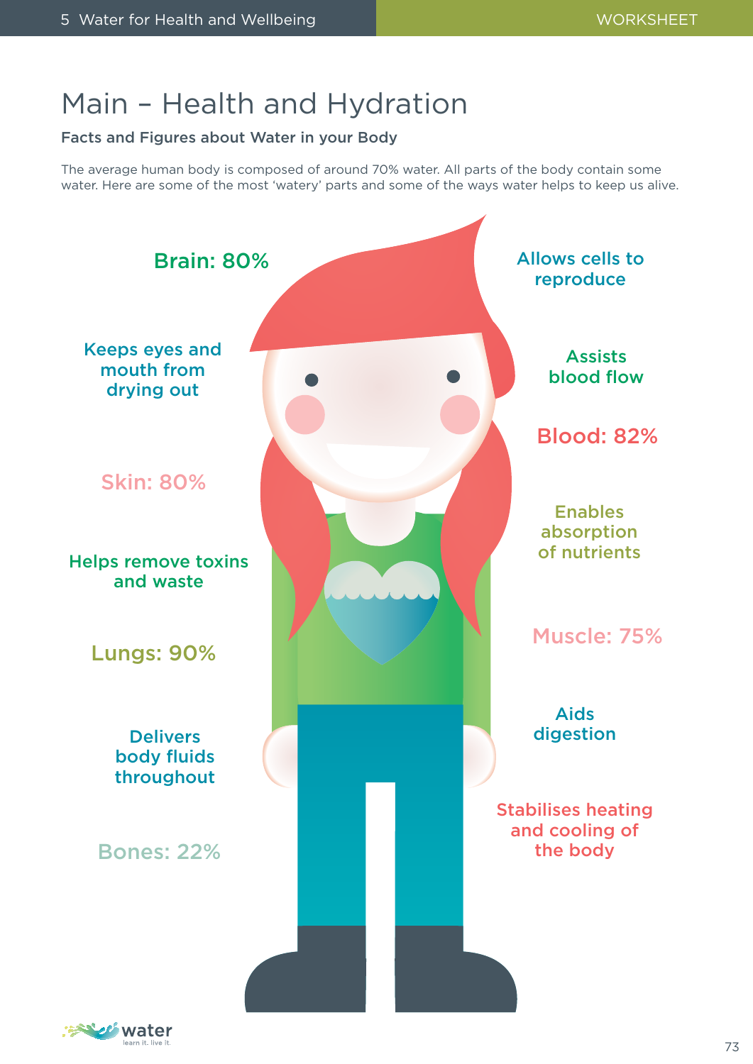# Main – Health and Hydration

#### Facts and Figures about Water in your Body

The average human body is composed of around 70% water. All parts of the body contain some water. Here are some of the most 'watery' parts and some of the ways water helps to keep us alive.



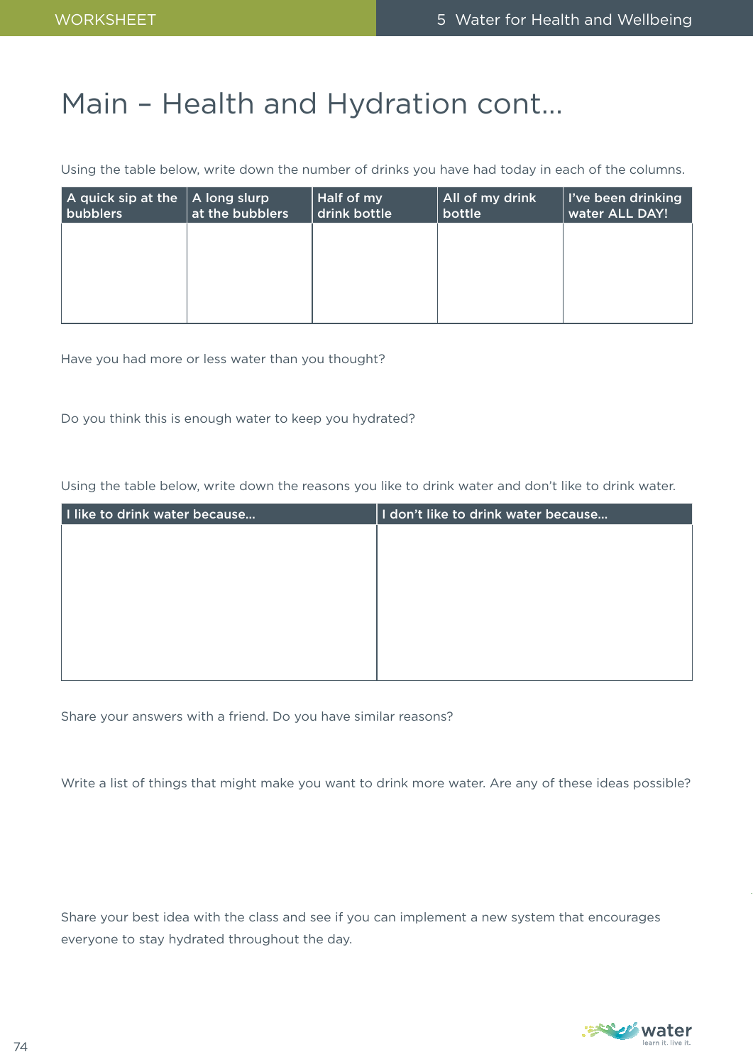# Main – Health and Hydration cont...

Using the table below, write down the number of drinks you have had today in each of the columns.

| A quick sip at the<br>bubblers | A long slurp<br>at the bubblers | Half of my<br>drink bottle | All of my drink<br>bottle | I've been drinking<br>water ALL DAY! |
|--------------------------------|---------------------------------|----------------------------|---------------------------|--------------------------------------|
|                                |                                 |                            |                           |                                      |
|                                |                                 |                            |                           |                                      |
|                                |                                 |                            |                           |                                      |

Have you had more or less water than you thought?

Do you think this is enough water to keep you hydrated?

Using the table below, write down the reasons you like to drink water and don't like to drink water.

| I like to drink water because | I don't like to drink water because |
|-------------------------------|-------------------------------------|
|                               |                                     |
|                               |                                     |
|                               |                                     |
|                               |                                     |
|                               |                                     |
|                               |                                     |
|                               |                                     |
|                               |                                     |

Share your answers with a friend. Do you have similar reasons?

Write a list of things that might make you want to drink more water. Are any of these ideas possible?

Share your best idea with the class and see if you can implement a new system that encourages everyone to stay hydrated throughout the day.